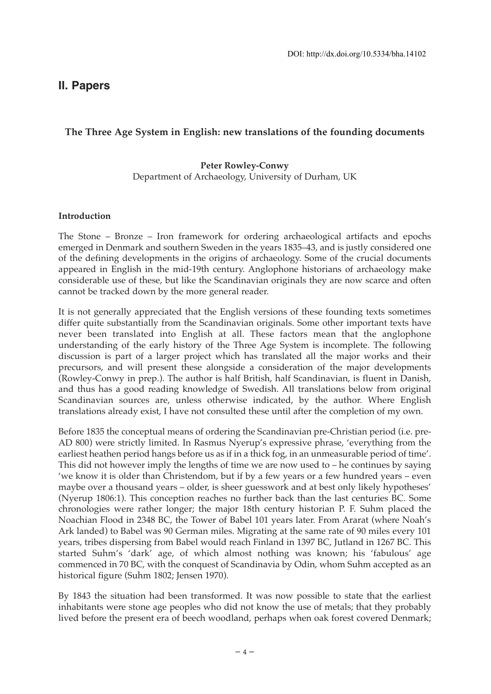# **II. Papers**

## **The Three Age System in English: new translations of the founding documents**

#### **Peter Rowley-Conwy** Department of Archaeology, University of Durham, UK

#### **Introduction**

The Stone – Bronze – Iron framework for ordering archaeological artifacts and epochs emerged in Denmark and southern Sweden in the years 1835–43, and is justly considered one of the defining developments in the origins of archaeology. Some of the crucial documents appeared in English in the mid-19th century. Anglophone historians of archaeology make considerable use of these, but like the Scandinavian originals they are now scarce and often cannot be tracked down by the more general reader.

It is not generally appreciated that the English versions of these founding texts sometimes differ quite substantially from the Scandinavian originals. Some other important texts have never been translated into English at all. These factors mean that the anglophone understanding of the early history of the Three Age System is incomplete. The following discussion is part of a larger project which has translated all the major works and their precursors, and will present these alongside a consideration of the major developments (Rowley-Conwy in prep.). The author is half British, half Scandinavian, is fluent in Danish, and thus has a good reading knowledge of Swedish. All translations below from original Scandinavian sources are, unless otherwise indicated, by the author. Where English translations already exist, I have not consulted these until after the completion of my own.

Before 1835 the conceptual means of ordering the Scandinavian pre-Christian period (i.e. pre-AD 800) were strictly limited. In Rasmus Nyerup's expressive phrase, 'everything from the earliest heathen period hangs before us as if in a thick fog, in an unmeasurable period of time'. This did not however imply the lengths of time we are now used to – he continues by saying 'we know it is older than Christendom, but if by a few years or a few hundred years – even maybe over a thousand years – older, is sheer guesswork and at best only likely hypotheses' (Nyerup 1806:1). This conception reaches no further back than the last centuries BC. Some chronologies were rather longer; the major 18th century historian P. F. Suhm placed the Noachian Flood in 2348 BC, the Tower of Babel 101 years later. From Ararat (where Noah's Ark landed) to Babel was 90 German miles. Migrating at the same rate of 90 miles every 101 years, tribes dispersing from Babel would reach Finland in 1397 BC, Jutland in 1267 BC. This started Suhm's 'dark' age, of which almost nothing was known; his 'fabulous' age commenced in 70 BC, with the conquest of Scandinavia by Odin, whom Suhm accepted as an historical figure (Suhm 1802; Jensen 1970).

By 1843 the situation had been transformed. It was now possible to state that the earliest inhabitants were stone age peoples who did not know the use of metals; that they probably lived before the present era of beech woodland, perhaps when oak forest covered Denmark;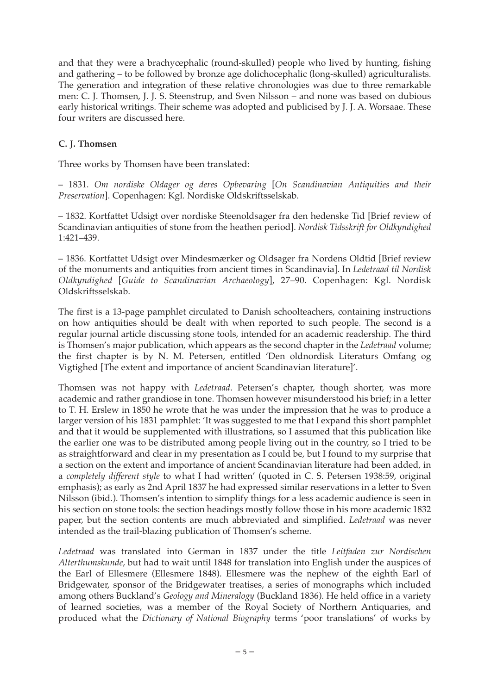and that they were a brachycephalic (round-skulled) people who lived by hunting, fishing and gathering – to be followed by bronze age dolichocephalic (long-skulled) agriculturalists. The generation and integration of these relative chronologies was due to three remarkable men: C. J. Thomsen, J. J. S. Steenstrup, and Sven Nilsson – and none was based on dubious early historical writings. Their scheme was adopted and publicised by J. J. A. Worsaae. These four writers are discussed here.

### **C. J. Thomsen**

Three works by Thomsen have been translated:

– 1831. *Om nordiske Oldager og deres Opbevaring* [*On Scandinavian Antiquities and their Preservation*]. Copenhagen: Kgl. Nordiske Oldskriftsselskab.

– 1832. Kortfattet Udsigt over nordiske Steenoldsager fra den hedenske Tid [Brief review of Scandinavian antiquities of stone from the heathen period]. *Nordisk Tidsskrift for Oldkyndighed* 1:421–439.

– 1836. Kortfattet Udsigt over Mindesmærker og Oldsager fra Nordens Oldtid [Brief review of the monuments and antiquities from ancient times in Scandinavia]. In *Ledetraad til Nordisk Oldkyndighed* [*Guide to Scandinavian Archaeology*], 27–90. Copenhagen: Kgl. Nordisk Oldskriftsselskab.

The first is a 13-page pamphlet circulated to Danish schoolteachers, containing instructions on how antiquities should be dealt with when reported to such people. The second is a regular journal article discussing stone tools, intended for an academic readership. The third is Thomsen's major publication, which appears as the second chapter in the *Ledetraad* volume; the first chapter is by N. M. Petersen, entitled 'Den oldnordisk Literaturs Omfang og Vigtighed [The extent and importance of ancient Scandinavian literature]'.

Thomsen was not happy with *Ledetraad*. Petersen's chapter, though shorter, was more academic and rather grandiose in tone. Thomsen however misunderstood his brief; in a letter to T. H. Erslew in 1850 he wrote that he was under the impression that he was to produce a larger version of his 1831 pamphlet: 'It was suggested to me that I expand this short pamphlet and that it would be supplemented with illustrations, so I assumed that this publication like the earlier one was to be distributed among people living out in the country, so I tried to be as straightforward and clear in my presentation as I could be, but I found to my surprise that a section on the extent and importance of ancient Scandinavian literature had been added, in a *completely different style* to what I had written' (quoted in C. S. Petersen 1938:59, original emphasis); as early as 2nd April 1837 he had expressed similar reservations in a letter to Sven Nilsson (ibid.). Thomsen's intention to simplify things for a less academic audience is seen in his section on stone tools: the section headings mostly follow those in his more academic 1832 paper, but the section contents are much abbreviated and simplified. *Ledetraad* was never intended as the trail-blazing publication of Thomsen's scheme.

*Ledetraad* was translated into German in 1837 under the title *Leitfaden zur Nordischen Alterthumskunde*, but had to wait until 1848 for translation into English under the auspices of the Earl of Ellesmere (Ellesmere 1848). Ellesmere was the nephew of the eighth Earl of Bridgewater, sponsor of the Bridgewater treatises, a series of monographs which included among others Buckland's *Geology and Mineralogy* (Buckland 1836). He held office in a variety of learned societies, was a member of the Royal Society of Northern Antiquaries, and produced what the *Dictionary of National Biography* terms 'poor translations' of works by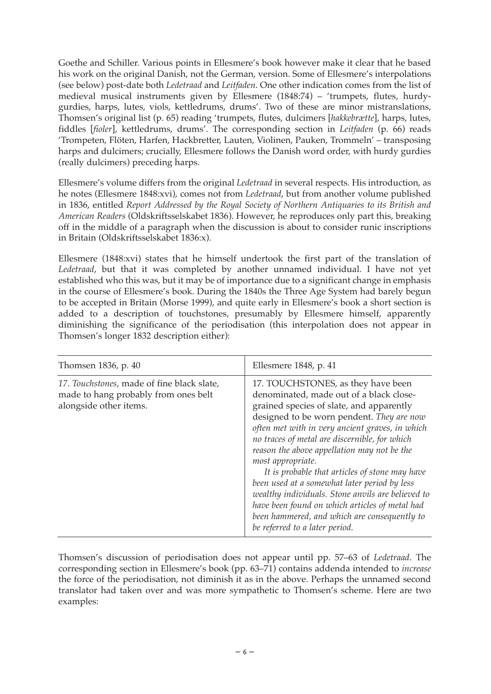Goethe and Schiller. Various points in Ellesmere's book however make it clear that he based his work on the original Danish, not the German, version. Some of Ellesmere's interpolations (see below) post-date both *Ledetraad* and *Leitfaden*. One other indication comes from the list of medieval musical instruments given by Ellesmere (1848:74) – 'trumpets, flutes, hurdygurdies, harps, lutes, viols, kettledrums, drums'. Two of these are minor mistranslations, Thomsen's original list (p. 65) reading 'trumpets, flutes, dulcimers [*hakkebrætte*], harps, lutes, fiddles [*fioler*], kettledrums, drums'. The corresponding section in *Leitfaden* (p. 66) reads 'Trompeten, Flöten, Harfen, Hackbretter, Lauten, Violinen, Pauken, Trommeln' – transposing harps and dulcimers; crucially, Ellesmere follows the Danish word order, with hurdy gurdies (really dulcimers) preceding harps.

Ellesmere's volume differs from the original *Ledetraad* in several respects. His introduction, as he notes (Ellesmere 1848:xvi), comes not from *Ledetraad*, but from another volume published in 1836, entitled *Report Addressed by the Royal Society of Northern Antiquaries to its British and American Readers* (Oldskriftsselskabet 1836). However, he reproduces only part this, breaking off in the middle of a paragraph when the discussion is about to consider runic inscriptions in Britain (Oldskriftsselskabet 1836:x).

Ellesmere (1848:xvi) states that he himself undertook the first part of the translation of *Ledetraad*, but that it was completed by another unnamed individual. I have not yet established who this was, but it may be of importance due to a significant change in emphasis in the course of Ellesmere's book. During the 1840s the Three Age System had barely begun to be accepted in Britain (Morse 1999), and quite early in Ellesmere's book a short section is added to a description of touchstones, presumably by Ellesmere himself, apparently diminishing the significance of the periodisation (this interpolation does not appear in Thomsen's longer 1832 description either):

| Thomsen 1836, p. 40                                                                                          | Ellesmere 1848, p. 41                                                                                                                                                                                                                                                                                                                                                                                                                                                                                                                                                                                                                     |
|--------------------------------------------------------------------------------------------------------------|-------------------------------------------------------------------------------------------------------------------------------------------------------------------------------------------------------------------------------------------------------------------------------------------------------------------------------------------------------------------------------------------------------------------------------------------------------------------------------------------------------------------------------------------------------------------------------------------------------------------------------------------|
| 17. Touchstones, made of fine black slate,<br>made to hang probably from ones belt<br>alongside other items. | 17. TOUCHSTONES, as they have been<br>denominated, made out of a black close-<br>grained species of slate, and apparently<br>designed to be worn pendent. They are now<br>often met with in very ancient graves, in which<br>no traces of metal are discernible, for which<br>reason the above appellation may not be the<br>most appropriate.<br>It is probable that articles of stone may have<br>been used at a somewhat later period by less<br>wealthy individuals. Stone anvils are believed to<br>have been found on which articles of metal had<br>been hammered, and which are consequently to<br>be referred to a later period. |

Thomsen's discussion of periodisation does not appear until pp. 57–63 of *Ledetraad*. The corresponding section in Ellesmere's book (pp. 63–71) contains addenda intended to *increase* the force of the periodisation, not diminish it as in the above. Perhaps the unnamed second translator had taken over and was more sympathetic to Thomsen's scheme. Here are two examples: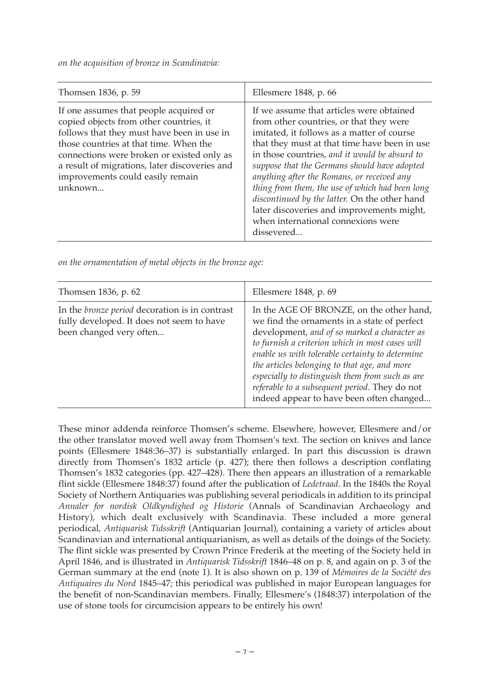*on the acquisition of bronze in Scandinavia:*

| Thomsen 1836, p. 59                                                                                                                                                                                                                                                                                                     | Ellesmere 1848, p. 66                                                                                                                                                                                                                                                                                                                                                                                                                                                                                                                 |
|-------------------------------------------------------------------------------------------------------------------------------------------------------------------------------------------------------------------------------------------------------------------------------------------------------------------------|---------------------------------------------------------------------------------------------------------------------------------------------------------------------------------------------------------------------------------------------------------------------------------------------------------------------------------------------------------------------------------------------------------------------------------------------------------------------------------------------------------------------------------------|
| If one assumes that people acquired or<br>copied objects from other countries, it<br>follows that they must have been in use in<br>those countries at that time. When the<br>connections were broken or existed only as<br>a result of migrations, later discoveries and<br>improvements could easily remain<br>unknown | If we assume that articles were obtained<br>from other countries, or that they were<br>imitated, it follows as a matter of course<br>that they must at that time have been in use<br>in those countries, and it would be absurd to<br>suppose that the Germans should have adopted<br>anything after the Romans, or received any<br>thing from them, the use of which had been long<br>discontinued by the latter. On the other hand<br>later discoveries and improvements might,<br>when international connexions were<br>dissevered |
|                                                                                                                                                                                                                                                                                                                         |                                                                                                                                                                                                                                                                                                                                                                                                                                                                                                                                       |

*on the ornamentation of metal objects in the bronze age:*

| Thomsen 1836, p. 62                                                                                                           | Ellesmere 1848, p. 69                                                                                                                                                                                                                                                                                                                                                                                                                         |
|-------------------------------------------------------------------------------------------------------------------------------|-----------------------------------------------------------------------------------------------------------------------------------------------------------------------------------------------------------------------------------------------------------------------------------------------------------------------------------------------------------------------------------------------------------------------------------------------|
| In the <i>bronze period</i> decoration is in contrast<br>fully developed. It does not seem to have<br>been changed very often | In the AGE OF BRONZE, on the other hand,<br>we find the ornaments in a state of perfect<br>development, and of so marked a character as<br>to furnish a criterion which in most cases will<br>enable us with tolerable certainty to determine<br>the articles belonging to that age, and more<br>especially to distinguish them from such as are<br>referable to a subsequent period. They do not<br>indeed appear to have been often changed |

These minor addenda reinforce Thomsen's scheme. Elsewhere, however, Ellesmere and/or the other translator moved well away from Thomsen's text. The section on knives and lance points (Ellesmere 1848:36–37) is substantially enlarged. In part this discussion is drawn directly from Thomsen's 1832 article (p. 427); there then follows a description conflating Thomsen's 1832 categories (pp. 427–428). There then appears an illustration of a remarkable flint sickle (Ellesmere 1848:37) found after the publication of *Ledetraad*. In the 1840s the Royal Society of Northern Antiquaries was publishing several periodicals in addition to its principal *Annaler for nordisk Oldkyndighed og Historie* (Annals of Scandinavian Archaeology and History), which dealt exclusively with Scandinavia. These included a more general periodical, *Antiquarisk Tidsskrift* (Antiquarian Journal), containing a variety of articles about Scandinavian and international antiquarianism, as well as details of the doings of the Society. The flint sickle was presented by Crown Prince Frederik at the meeting of the Society held in April 1846, and is illustrated in *Antiquarisk Tidsskrift* 1846–48 on p. 8, and again on p. 3 of the German summary at the end (note 1). It is also shown on p. 139 of *Mémoires de la Société des Antiquaires du Nord* 1845–47; this periodical was published in major European languages for the benefit of non-Scandinavian members. Finally, Ellesmere's (1848:37) interpolation of the use of stone tools for circumcision appears to be entirely his own!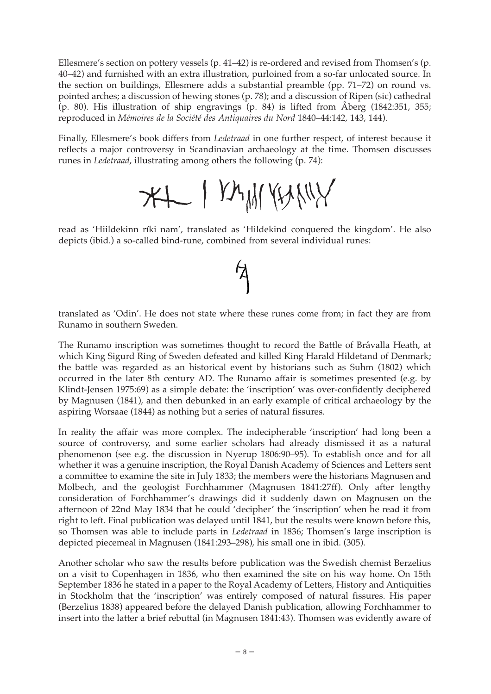Ellesmere's section on pottery vessels (p. 41–42) is re-ordered and revised from Thomsen's (p. 40–42) and furnished with an extra illustration, purloined from a so-far unlocated source. In the section on buildings, Ellesmere adds a substantial preamble (pp. 71–72) on round vs. pointed arches; a discussion of hewing stones (p. 78); and a discussion of Ripen (sic) cathedral (p. 80). His illustration of ship engravings (p. 84) is lifted from Åberg (1842:351, 355; reproduced in *Mémoires de la Société des Antiquaires du Nord* 1840–44:142, 143, 144).

Finally, Ellesmere's book differs from *Ledetraad* in one further respect, of interest because it reflects a major controversy in Scandinavian archaeology at the time. Thomsen discusses runes in *Ledetraad*, illustrating among others the following (p. 74):

XI I KAMKAYNY

read as 'Hiildekinn ríki nam', translated as 'Hildekind conquered the kingdom'. He also depicts (ibid.) a so-called bind-rune, combined from several individual runes:

 $\cancel{5}$ 

### translated as 'Odin'. He does not state where these runes come from; in fact they are from Runamo in southern Sweden.

The Runamo inscription was sometimes thought to record the Battle of Bråvalla Heath, at which King Sigurd Ring of Sweden defeated and killed King Harald Hildetand of Denmark; the battle was regarded as an historical event by historians such as Suhm (1802) which occurred in the later 8th century AD. The Runamo affair is sometimes presented (e.g. by Klindt-Jensen 1975:69) as a simple debate: the 'inscription' was over-confidently deciphered by Magnusen (1841), and then debunked in an early example of critical archaeology by the aspiring Worsaae (1844) as nothing but a series of natural fissures.

In reality the affair was more complex. The indecipherable 'inscription' had long been a source of controversy, and some earlier scholars had already dismissed it as a natural phenomenon (see e.g. the discussion in Nyerup 1806:90–95). To establish once and for all whether it was a genuine inscription, the Royal Danish Academy of Sciences and Letters sent a committee to examine the site in July 1833; the members were the historians Magnusen and Molbech, and the geologist Forchhammer (Magnusen 1841:27ff). Only after lengthy consideration of Forchhammer's drawings did it suddenly dawn on Magnusen on the afternoon of 22nd May 1834 that he could 'decipher' the 'inscription' when he read it from right to left. Final publication was delayed until 1841, but the results were known before this, so Thomsen was able to include parts in *Ledetraad* in 1836; Thomsen's large inscription is depicted piecemeal in Magnusen (1841:293–298), his small one in ibid. (305).

Another scholar who saw the results before publication was the Swedish chemist Berzelius on a visit to Copenhagen in 1836, who then examined the site on his way home. On 15th September 1836 he stated in a paper to the Royal Academy of Letters, History and Antiquities in Stockholm that the 'inscription' was entirely composed of natural fissures. His paper (Berzelius 1838) appeared before the delayed Danish publication, allowing Forchhammer to insert into the latter a brief rebuttal (in Magnusen 1841:43). Thomsen was evidently aware of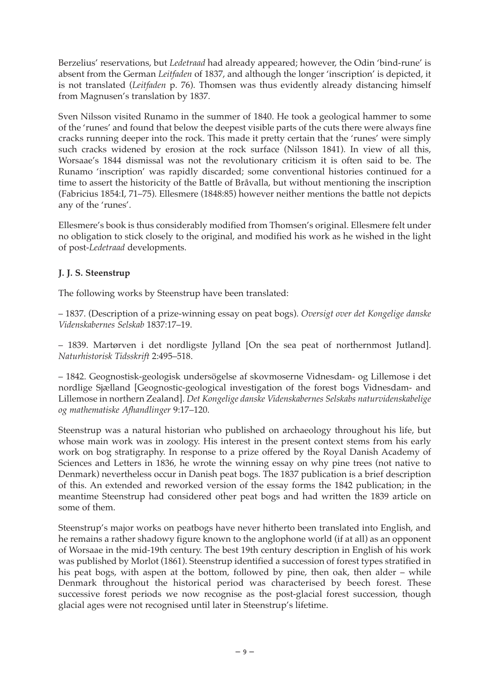Berzelius' reservations, but *Ledetraad* had already appeared; however, the Odin 'bind-rune' is absent from the German *Leitfaden* of 1837, and although the longer 'inscription' is depicted, it is not translated (*Leitfaden* p. 76). Thomsen was thus evidently already distancing himself from Magnusen's translation by 1837.

Sven Nilsson visited Runamo in the summer of 1840. He took a geological hammer to some of the 'runes' and found that below the deepest visible parts of the cuts there were always fine cracks running deeper into the rock. This made it pretty certain that the 'runes' were simply such cracks widened by erosion at the rock surface (Nilsson 1841). In view of all this, Worsaae's 1844 dismissal was not the revolutionary criticism it is often said to be. The Runamo 'inscription' was rapidly discarded; some conventional histories continued for a time to assert the historicity of the Battle of Bråvalla, but without mentioning the inscription (Fabricius 1854:I, 71–75). Ellesmere (1848:85) however neither mentions the battle not depicts any of the 'runes'.

Ellesmere's book is thus considerably modified from Thomsen's original. Ellesmere felt under no obligation to stick closely to the original, and modified his work as he wished in the light of post-*Ledetraad* developments.

## **J. J. S. Steenstrup**

The following works by Steenstrup have been translated:

– 1837. (Description of a prize-winning essay on peat bogs). *Oversigt over det Kongelige danske Videnskabernes Selskab* 1837:17–19.

– 1839. Martørven i det nordligste Jylland [On the sea peat of northernmost Jutland]. *Naturhistorisk Tidsskrift* 2:495–518.

– 1842. Geognostisk-geologisk undersögelse af skovmoserne Vidnesdam- og Lillemose i det nordlige Sjælland [Geognostic-geological investigation of the forest bogs Vidnesdam- and Lillemose in northern Zealand]. *Det Kongelige danske Videnskabernes Selskabs naturvidenskabelige og mathematiske Afhandlinger* 9:17–120.

Steenstrup was a natural historian who published on archaeology throughout his life, but whose main work was in zoology. His interest in the present context stems from his early work on bog stratigraphy. In response to a prize offered by the Royal Danish Academy of Sciences and Letters in 1836, he wrote the winning essay on why pine trees (not native to Denmark) nevertheless occur in Danish peat bogs. The 1837 publication is a brief description of this. An extended and reworked version of the essay forms the 1842 publication; in the meantime Steenstrup had considered other peat bogs and had written the 1839 article on some of them.

Steenstrup's major works on peatbogs have never hitherto been translated into English, and he remains a rather shadowy figure known to the anglophone world (if at all) as an opponent of Worsaae in the mid-19th century. The best 19th century description in English of his work was published by Morlot (1861). Steenstrup identified a succession of forest types stratified in his peat bogs, with aspen at the bottom, followed by pine, then oak, then alder – while Denmark throughout the historical period was characterised by beech forest. These successive forest periods we now recognise as the post-glacial forest succession, though glacial ages were not recognised until later in Steenstrup's lifetime.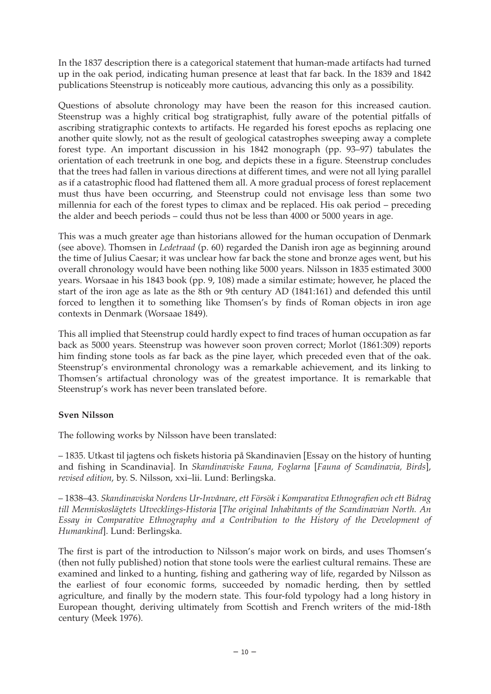In the 1837 description there is a categorical statement that human-made artifacts had turned up in the oak period, indicating human presence at least that far back. In the 1839 and 1842 publications Steenstrup is noticeably more cautious, advancing this only as a possibility.

Questions of absolute chronology may have been the reason for this increased caution. Steenstrup was a highly critical bog stratigraphist, fully aware of the potential pitfalls of ascribing stratigraphic contexts to artifacts. He regarded his forest epochs as replacing one another quite slowly, not as the result of geological catastrophes sweeping away a complete forest type. An important discussion in his 1842 monograph (pp. 93–97) tabulates the orientation of each treetrunk in one bog, and depicts these in a figure. Steenstrup concludes that the trees had fallen in various directions at different times, and were not all lying parallel as if a catastrophic flood had flattened them all. A more gradual process of forest replacement must thus have been occurring, and Steenstrup could not envisage less than some two millennia for each of the forest types to climax and be replaced. His oak period – preceding the alder and beech periods – could thus not be less than 4000 or 5000 years in age.

This was a much greater age than historians allowed for the human occupation of Denmark (see above). Thomsen in *Ledetraad* (p. 60) regarded the Danish iron age as beginning around the time of Julius Caesar; it was unclear how far back the stone and bronze ages went, but his overall chronology would have been nothing like 5000 years. Nilsson in 1835 estimated 3000 years. Worsaae in his 1843 book (pp. 9, 108) made a similar estimate; however, he placed the start of the iron age as late as the 8th or 9th century AD (1841:161) and defended this until forced to lengthen it to something like Thomsen's by finds of Roman objects in iron age contexts in Denmark (Worsaae 1849).

This all implied that Steenstrup could hardly expect to find traces of human occupation as far back as 5000 years. Steenstrup was however soon proven correct; Morlot (1861:309) reports him finding stone tools as far back as the pine layer, which preceded even that of the oak. Steenstrup's environmental chronology was a remarkable achievement, and its linking to Thomsen's artifactual chronology was of the greatest importance. It is remarkable that Steenstrup's work has never been translated before.

### **Sven Nilsson**

The following works by Nilsson have been translated:

– 1835. Utkast til jagtens och fiskets historia på Skandinavien [Essay on the history of hunting and fishing in Scandinavia]. In *Skandinaviske Fauna, Foglarna* [*Fauna of Scandinavia, Birds*], *revised edition*, by. S. Nilsson, xxi–lii. Lund: Berlingska.

– 1838–43. *Skandinaviska Nordens Ur-Invånare, ett Försök i Komparativa Ethnografien och ett Bidrag till Menniskoslägtets Utvecklings-Historia* [*The original Inhabitants of the Scandinavian North. An Essay in Comparative Ethnography and a Contribution to the History of the Development of Humankind*]. Lund: Berlingska.

The first is part of the introduction to Nilsson's major work on birds, and uses Thomsen's (then not fully published) notion that stone tools were the earliest cultural remains. These are examined and linked to a hunting, fishing and gathering way of life, regarded by Nilsson as the earliest of four economic forms, succeeded by nomadic herding, then by settled agriculture, and finally by the modern state. This four-fold typology had a long history in European thought, deriving ultimately from Scottish and French writers of the mid-18th century (Meek 1976).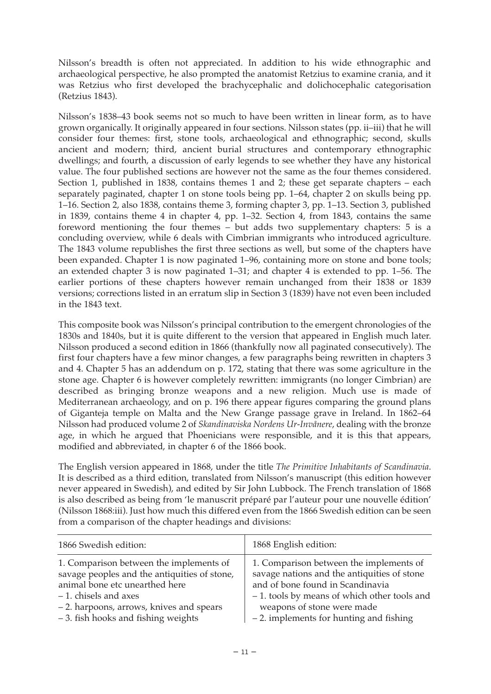Nilsson's breadth is often not appreciated. In addition to his wide ethnographic and archaeological perspective, he also prompted the anatomist Retzius to examine crania, and it was Retzius who first developed the brachycephalic and dolichocephalic categorisation (Retzius 1843).

Nilsson's 1838–43 book seems not so much to have been written in linear form, as to have grown organically. It originally appeared in four sections. Nilsson states (pp. ii–iii) that he will consider four themes: first, stone tools, archaeological and ethnographic; second, skulls ancient and modern; third, ancient burial structures and contemporary ethnographic dwellings; and fourth, a discussion of early legends to see whether they have any historical value. The four published sections are however not the same as the four themes considered. Section 1, published in 1838, contains themes 1 and 2; these get separate chapters – each separately paginated, chapter 1 on stone tools being pp. 1–64, chapter 2 on skulls being pp. 1–16. Section 2, also 1838, contains theme 3, forming chapter 3, pp. 1–13. Section 3, published in 1839, contains theme 4 in chapter 4, pp. 1–32. Section 4, from 1843, contains the same foreword mentioning the four themes – but adds two supplementary chapters: 5 is a concluding overview, while 6 deals with Cimbrian immigrants who introduced agriculture. The 1843 volume republishes the first three sections as well, but some of the chapters have been expanded. Chapter 1 is now paginated 1–96, containing more on stone and bone tools; an extended chapter 3 is now paginated 1–31; and chapter 4 is extended to pp. 1–56. The earlier portions of these chapters however remain unchanged from their 1838 or 1839 versions; corrections listed in an erratum slip in Section 3 (1839) have not even been included in the 1843 text.

This composite book was Nilsson's principal contribution to the emergent chronologies of the 1830s and 1840s, but it is quite different to the version that appeared in English much later. Nilsson produced a second edition in 1866 (thankfully now all paginated consecutively). The first four chapters have a few minor changes, a few paragraphs being rewritten in chapters 3 and 4. Chapter 5 has an addendum on p. 172, stating that there was some agriculture in the stone age. Chapter 6 is however completely rewritten: immigrants (no longer Cimbrian) are described as bringing bronze weapons and a new religion. Much use is made of Mediterranean archaeology, and on p. 196 there appear figures comparing the ground plans of Giganteja temple on Malta and the New Grange passage grave in Ireland. In 1862–64 Nilsson had produced volume 2 of *Skandinaviska Nordens Ur-Invånere*, dealing with the bronze age, in which he argued that Phoenicians were responsible, and it is this that appears, modified and abbreviated, in chapter 6 of the 1866 book.

The English version appeared in 1868, under the title *The Primitive Inhabitants of Scandinavia*. It is described as a third edition, translated from Nilsson's manuscript (this edition however never appeared in Swedish), and edited by Sir John Lubbock. The French translation of 1868 is also described as being from 'le manuscrit préparé par l'auteur pour une nouvelle édition' (Nilsson 1868:iii). Just how much this differed even from the 1866 Swedish edition can be seen from a comparison of the chapter headings and divisions:

| 1866 Swedish edition:                        | 1868 English edition:                       |
|----------------------------------------------|---------------------------------------------|
| 1. Comparison between the implements of      | 1. Comparison between the implements of     |
| savage peoples and the antiquities of stone, | savage nations and the antiquities of stone |
| animal bone etc unearthed here               | and of bone found in Scandinavia            |
| $-1$ . chisels and axes                      | -1. tools by means of which other tools and |
| -2. harpoons, arrows, knives and spears      | weapons of stone were made                  |
| - 3. fish hooks and fishing weights          | $-2$ . implements for hunting and fishing   |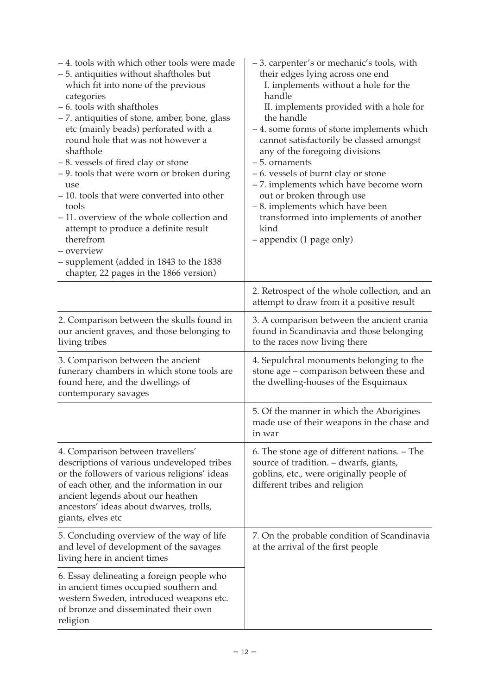| -4. tools with which other tools were made<br>- 5. antiquities without shaftholes but<br>which fit into none of the previous<br>categories<br>-6. tools with shaftholes<br>- 7. antiquities of stone, amber, bone, glass<br>etc (mainly beads) perforated with a<br>round hole that was not however a<br>shafthole<br>-8. vessels of fired clay or stone<br>- 9. tools that were worn or broken during<br>use<br>-10. tools that were converted into other<br>tools<br>-11. overview of the whole collection and<br>attempt to produce a definite result<br>therefrom<br>- overview<br>- supplement (added in 1843 to the 1838<br>chapter, 22 pages in the 1866 version) | -3. carpenter's or mechanic's tools, with<br>their edges lying across one end<br>I. implements without a hole for the<br>handle<br>II. implements provided with a hole for<br>the handle<br>-4. some forms of stone implements which<br>cannot satisfactorily be classed amongst<br>any of the foregoing divisions<br>$-5.$ ornaments<br>-6. vessels of burnt clay or stone<br>-7. implements which have become worn<br>out or broken through use<br>-8. implements which have been<br>transformed into implements of another<br>kind<br>- appendix (1 page only) |
|--------------------------------------------------------------------------------------------------------------------------------------------------------------------------------------------------------------------------------------------------------------------------------------------------------------------------------------------------------------------------------------------------------------------------------------------------------------------------------------------------------------------------------------------------------------------------------------------------------------------------------------------------------------------------|-------------------------------------------------------------------------------------------------------------------------------------------------------------------------------------------------------------------------------------------------------------------------------------------------------------------------------------------------------------------------------------------------------------------------------------------------------------------------------------------------------------------------------------------------------------------|
|                                                                                                                                                                                                                                                                                                                                                                                                                                                                                                                                                                                                                                                                          | 2. Retrospect of the whole collection, and an<br>attempt to draw from it a positive result                                                                                                                                                                                                                                                                                                                                                                                                                                                                        |
| 2. Comparison between the skulls found in<br>our ancient graves, and those belonging to<br>living tribes                                                                                                                                                                                                                                                                                                                                                                                                                                                                                                                                                                 | 3. A comparison between the ancient crania<br>found in Scandinavia and those belonging<br>to the races now living there                                                                                                                                                                                                                                                                                                                                                                                                                                           |
| 3. Comparison between the ancient<br>funerary chambers in which stone tools are<br>found here, and the dwellings of<br>contemporary savages                                                                                                                                                                                                                                                                                                                                                                                                                                                                                                                              | 4. Sepulchral monuments belonging to the<br>stone age - comparison between these and<br>the dwelling-houses of the Esquimaux                                                                                                                                                                                                                                                                                                                                                                                                                                      |
|                                                                                                                                                                                                                                                                                                                                                                                                                                                                                                                                                                                                                                                                          | 5. Of the manner in which the Aborigines<br>made use of their weapons in the chase and<br>in war                                                                                                                                                                                                                                                                                                                                                                                                                                                                  |
| 4. Comparison between travellers'<br>descriptions of various undeveloped tribes<br>or the followers of various religions' ideas<br>of each other, and the information in our<br>ancient legends about our heathen<br>ancestors' ideas about dwarves, trolls,<br>giants, elves etc                                                                                                                                                                                                                                                                                                                                                                                        | 6. The stone age of different nations. – The<br>source of tradition. - dwarfs, giants,<br>goblins, etc., were originally people of<br>different tribes and religion                                                                                                                                                                                                                                                                                                                                                                                               |
| 5. Concluding overview of the way of life<br>and level of development of the savages<br>living here in ancient times                                                                                                                                                                                                                                                                                                                                                                                                                                                                                                                                                     | 7. On the probable condition of Scandinavia<br>at the arrival of the first people                                                                                                                                                                                                                                                                                                                                                                                                                                                                                 |
| 6. Essay delineating a foreign people who<br>in ancient times occupied southern and<br>western Sweden, introduced weapons etc.<br>of bronze and disseminated their own<br>religion                                                                                                                                                                                                                                                                                                                                                                                                                                                                                       |                                                                                                                                                                                                                                                                                                                                                                                                                                                                                                                                                                   |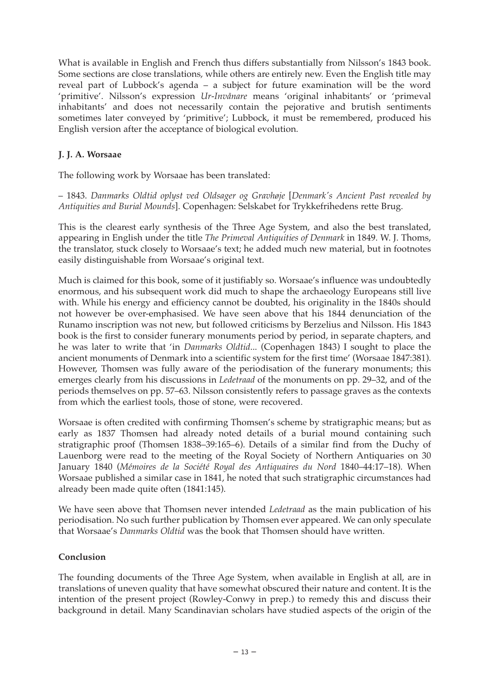What is available in English and French thus differs substantially from Nilsson's 1843 book. Some sections are close translations, while others are entirely new. Even the English title may reveal part of Lubbock's agenda – a subject for future examination will be the word 'primitive'. Nilsson's expression *Ur-Invånare* means 'original inhabitants' or 'primeval inhabitants' and does not necessarily contain the pejorative and brutish sentiments sometimes later conveyed by 'primitive'; Lubbock, it must be remembered, produced his English version after the acceptance of biological evolution.

### **J. J. A. Worsaae**

The following work by Worsaae has been translated:

– 1843. *Danmarks Oldtid oplyst ved Oldsager og Gravhøje* [*Denmark's Ancient Past revealed by Antiquities and Burial Mounds*]. Copenhagen: Selskabet for Trykkefrihedens rette Brug.

This is the clearest early synthesis of the Three Age System, and also the best translated, appearing in English under the title *The Primeval Antiquities of Denmark* in 1849. W. J. Thoms, the translator, stuck closely to Worsaae's text; he added much new material, but in footnotes easily distinguishable from Worsaae's original text.

Much is claimed for this book, some of it justifiably so. Worsaae's influence was undoubtedly enormous, and his subsequent work did much to shape the archaeology Europeans still live with. While his energy and efficiency cannot be doubted, his originality in the 1840s should not however be over-emphasised. We have seen above that his 1844 denunciation of the Runamo inscription was not new, but followed criticisms by Berzelius and Nilsson. His 1843 book is the first to consider funerary monuments period by period, in separate chapters, and he was later to write that 'in *Danmarks Oldtid*... (Copenhagen 1843) I sought to place the ancient monuments of Denmark into a scientific system for the first time' (Worsaae 1847:381). However, Thomsen was fully aware of the periodisation of the funerary monuments; this emerges clearly from his discussions in *Ledetraad* of the monuments on pp. 29–32, and of the periods themselves on pp. 57–63. Nilsson consistently refers to passage graves as the contexts from which the earliest tools, those of stone, were recovered.

Worsaae is often credited with confirming Thomsen's scheme by stratigraphic means; but as early as 1837 Thomsen had already noted details of a burial mound containing such stratigraphic proof (Thomsen 1838–39:165–6). Details of a similar find from the Duchy of Lauenborg were read to the meeting of the Royal Society of Northern Antiquaries on 30 January 1840 (*Mémoires de la Société Royal des Antiquaires du Nord* 1840–44:17–18). When Worsaae published a similar case in 1841, he noted that such stratigraphic circumstances had already been made quite often (1841:145).

We have seen above that Thomsen never intended *Ledetraad* as the main publication of his periodisation. No such further publication by Thomsen ever appeared. We can only speculate that Worsaae's *Danmarks Oldtid* was the book that Thomsen should have written.

### **Conclusion**

The founding documents of the Three Age System, when available in English at all, are in translations of uneven quality that have somewhat obscured their nature and content. It is the intention of the present project (Rowley-Conwy in prep.) to remedy this and discuss their background in detail. Many Scandinavian scholars have studied aspects of the origin of the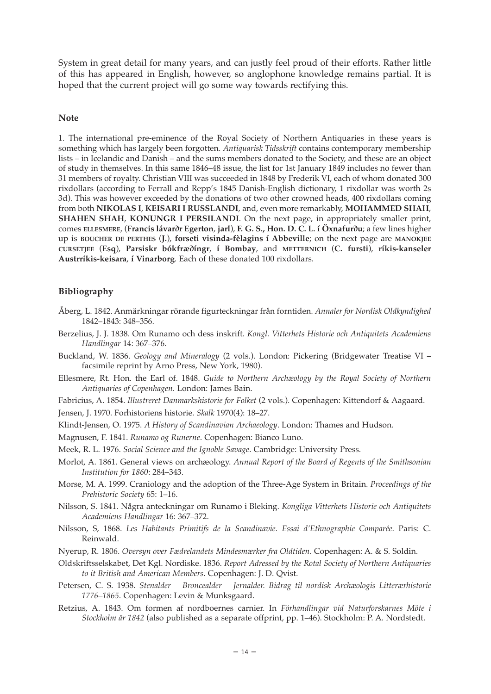System in great detail for many years, and can justly feel proud of their efforts. Rather little of this has appeared in English, however, so anglophone knowledge remains partial. It is hoped that the current project will go some way towards rectifying this.

#### **Note**

1. The international pre-eminence of the Royal Society of Northern Antiquaries in these years is something which has largely been forgotten. *Antiquarisk Tidsskrift* contains contemporary membership lists – in Icelandic and Danish – and the sums members donated to the Society, and these are an object of study in themselves. In this same 1846–48 issue, the list for 1st January 1849 includes no fewer than 31 members of royalty. Christian VIII was succeeded in 1848 by Frederik VI, each of whom donated 300 rixdollars (according to Ferrall and Repp's 1845 Danish-English dictionary, 1 rixdollar was worth 2s 3d). This was however exceeded by the donations of two other crowned heads, 400 rixdollars coming from both **NIKOLAS I**, **KEISARI I RUSSLANDI**, and, even more remarkably, **MOHAMMED SHAH**, **SHAHEN SHAH**, **KONUNGR I PERSILANDI**. On the next page, in appropriately smaller print, comes **ELLESMERE**, (**Francis lávar∂r Egerton**, **jarl**), **F. G. S., Hon. D. C. L. í Öxnafur∂u**; a few lines higher up is **BOUCHER DE PERTHES** (**J.**), **forseti visinda-fèlagins í Abbeville**; on the next page are **MANOKJEE CURSETJEE** (**Esq**), **Parsiskr bókfræ∂íngr**, **í Bombay**, and **METTERNICH** (**C. fursti**), **ríkis-kanseler Austrríkis-keisara**, **í Vinarborg**. Each of these donated 100 rixdollars.

#### **Bibliography**

- Åberg, L. 1842. Anmärkningar rörande figurteckningar från forntiden. *Annaler for Nordisk Oldkyndighed* 1842–1843: 348–356.
- Berzelius, J. J. 1838. Om Runamo och dess inskrift. *Kongl. Vitterhets Historie och Antiquitets Academiens Handlingar* 14: 367–376.
- Buckland, W. 1836. *Geology and Mineralogy* (2 vols.). London: Pickering (Bridgewater Treatise VI facsimile reprint by Arno Press, New York, 1980).
- Ellesmere, Rt. Hon. the Earl of. 1848. *Guide to Northern Archæology by the Royal Society of Northern Antiquaries of Copenhagen*. London: James Bain.

Fabricius, A. 1854. *Illustreret Danmarkshistorie for Folket* (2 vols.). Copenhagen: Kittendorf & Aagaard.

Jensen, J. 1970. Forhistoriens historie. *Skalk* 1970(4): 18–27.

- Klindt-Jensen, O. 1975. *A History of Scandinavian Archaeology*. London: Thames and Hudson.
- Magnusen, F. 1841. *Runamo og Runerne*. Copenhagen: Bianco Luno.
- Meek, R. L. 1976. *Social Science and the Ignoble Savage*. Cambridge: University Press.
- Morlot, A. 1861. General views on archæology. *Annual Report of the Board of Regents of the Smithsonian Institution for 1860*: 284–343.
- Morse, M. A. 1999. Craniology and the adoption of the Three-Age System in Britain. *Proceedings of the Prehistoric Society* 65: 1–16.
- Nilsson, S. 1841. Några anteckningar om Runamo i Bleking. *Kongliga Vitterhets Historie och Antiquitets Academiens Handlingar* 16: 367–372.
- Nilsson, S, 1868. *Les Habitants Primitifs de la Scandinavie. Essai d'Ethnographie Comparée*. Paris: C. Reinwald.
- Nyerup, R. 1806. *Oversyn over Fædrelandets Mindesmærker fra Oldtiden*. Copenhagen: A. & S. Soldin.
- Oldskriftsselskabet, Det Kgl. Nordiske. 1836. *Report Adressed by the Rotal Society of Northern Antiquaries to it British and American Members*. Copenhagen: J. D. Qvist.
- Petersen, C. S. 1938. *Stenalder Broncealder Jernalder. Bidrag til nordisk Archæologis Litterærhistorie 1776–1865*. Copenhagen: Levin & Munksgaard.
- Retzius, A. 1843. Om formen af nordboernes carnier. In *Förhandlingar vid Naturforskarnes Möte i Stockholm år 1842* (also published as a separate offprint, pp. 1–46). Stockholm: P. A. Nordstedt.